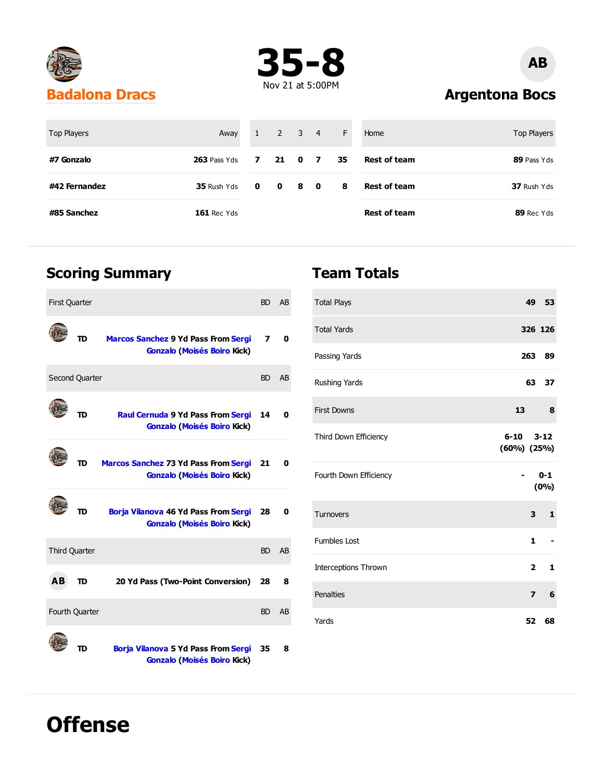



# **AB**

**Argentona Bocs**

| Top Players   | Away               |                                 | $1 \quad 2 \quad 3 \quad 4$ |    |                | F  | Home                | Top Players |
|---------------|--------------------|---------------------------------|-----------------------------|----|----------------|----|---------------------|-------------|
| #7 Gonzalo    | $263$ Pass Yds     | $\overline{\mathbf{z}}$         | $21 \quad 0$                |    | $\overline{7}$ | 35 | <b>Rest of team</b> | 89 Pass Yds |
| #42 Fernandez | 35 Rush Yds        | $\begin{matrix}0&0\end{matrix}$ |                             | 80 |                | 8  | <b>Rest of team</b> | 37 Rush Yds |
| #85 Sanchez   | <b>161 Rec Yds</b> |                                 |                             |    |                |    | <b>Rest of team</b> | 89 Rec Yds  |

#### **Scoring Summary**

**Offense**

| <b>First Quarter</b> |                      |                                                                                   | <b>BD</b> | AB             |
|----------------------|----------------------|-----------------------------------------------------------------------------------|-----------|----------------|
|                      | TD                   | <b>Marcos Sanchez 9 Yd Pass From Sergi</b><br><b>Gonzalo (Moisés Boiro Kick)</b>  | 7         | 0              |
|                      | Second Quarter       |                                                                                   | <b>BD</b> | AB             |
|                      | TD                   | <b>Raul Cernuda 9 Yd Pass From Sergi</b><br><b>Gonzalo (Moisés Boiro Kick)</b>    | 14        | 0              |
|                      | סד                   | <b>Marcos Sanchez 73 Yd Pass From Sergi</b><br><b>Gonzalo (Moisés Boiro Kick)</b> | 21        | 0              |
|                      | סד                   | Borja Vilanova 46 Yd Pass From Sergi<br><b>Gonzalo (Moisés Boiro Kick)</b>        | 28        | 0              |
|                      | <b>Third Quarter</b> |                                                                                   | <b>BD</b> | A <sub>B</sub> |
| AB.                  | TD                   | 20 Yd Pass (Two-Point Conversion)                                                 | 28        | 8              |
|                      | Fourth Quarter       |                                                                                   | <b>BD</b> | AB             |
|                      | m                    | <b>Borja Vilanova 5 Yd Pass From Sergi</b><br><b>Gonzalo (Moisés Boiro Kick)</b>  | 35        | 8              |

#### **Team Totals**

| <b>Total Plays</b>          |                         | 49 53           |
|-----------------------------|-------------------------|-----------------|
| <b>Total Yards</b>          |                         | 326 126         |
| Passing Yards               | 263                     | 89              |
| Rushing Yards               | 63                      | 37              |
| <b>First Downs</b>          | $13-13$                 | 8               |
| Third Down Efficiency       | 6-10<br>$(60\%) (25\%)$ | $3 - 12$        |
| Fourth Down Efficiency      |                         | $0 - 1$<br>(0%) |
| Turnovers                   | 3                       | $\mathbf{1}$    |
| <b>Fumbles Lost</b>         | $\mathbf{1}$            |                 |
| <b>Interceptions Thrown</b> | $\overline{\mathbf{2}}$ | 1               |
| Penalties                   | $\overline{z}$          | 6               |
| Yards                       | 52                      | 68              |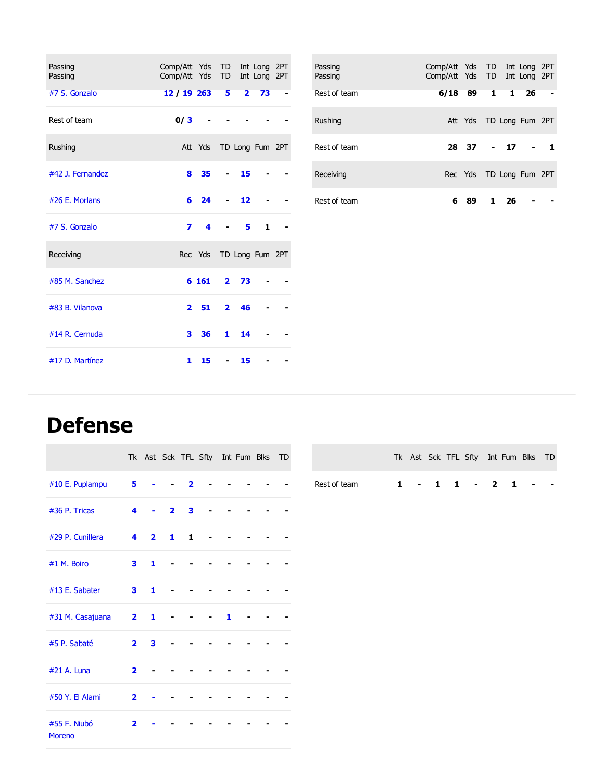| Passing          | Comp/Att Yds TD         |       |                |                | Int Long 2PT            |  |
|------------------|-------------------------|-------|----------------|----------------|-------------------------|--|
| Passing          | Comp/Att Yds TD         |       |                |                | Int Long 2PT            |  |
| #7 S. Gonzalo    | 12 / 19 263             |       |                | 5 <sub>2</sub> | 73                      |  |
| Rest of team     | 0/3                     |       |                |                |                         |  |
| Rushing          |                         |       |                |                | Att Yds TD Long Fum 2PT |  |
| #42 J. Fernandez | 8                       | 35    |                | 15             |                         |  |
| #26 E. Morlans   | 6                       | 24    |                | 12             |                         |  |
| #7 S. Gonzalo    | $\overline{\mathbf{z}}$ | 4     |                | 5.             | 1                       |  |
| Receiving        |                         |       |                |                | Rec Yds TD Long Fum 2PT |  |
| #85 M. Sanchez   |                         | 6 161 | $\mathbf{2}$   | 73             |                         |  |
| #83 B. Vilanova  | $\overline{\mathbf{2}}$ | 51    | $\overline{2}$ | 46             |                         |  |
| #14 R. Cernuda   |                         | 3 36  |                | $1 \quad 14$   |                         |  |
| #17 D. Martínez  | 1                       | 15    | $\blacksquare$ | 15             |                         |  |

| Passing<br>Passing | Comp/Att Yds TD Int Long 2PT<br>Comp/Att Yds TD Int Long 2PT |                         |  |  |
|--------------------|--------------------------------------------------------------|-------------------------|--|--|
| Rest of team       | 6/18 89 1 1 26                                               |                         |  |  |
| Rushing            |                                                              | Att Yds TD Long Fum 2PT |  |  |
| Rest of team       |                                                              | 28 37 - 17 - 1          |  |  |
| Receiving          |                                                              | Rec Yds TD Long Fum 2PT |  |  |
| Rest of team       |                                                              | 6 89 1 26               |  |  |

### **Defense**

|                        |                         |                |                |                         |  |   | Tk Ast Sck TFL Sfty Int Fum Blks TD |  |
|------------------------|-------------------------|----------------|----------------|-------------------------|--|---|-------------------------------------|--|
| #10 E. Puplampu        | 5 <sub>1</sub>          |                |                | $\overline{\mathbf{2}}$ |  |   |                                     |  |
| #36 P. Tricas          | 4                       |                | $\overline{2}$ | 3                       |  |   |                                     |  |
| #29 P. Cunillera       | 4                       | $\overline{2}$ | 1              | 1                       |  |   |                                     |  |
| #1 M. Boiro            | 3                       | 1              |                |                         |  |   |                                     |  |
| #13 E. Sabater         | 3                       | 1              |                |                         |  |   |                                     |  |
| #31 M. Casajuana       | $\mathbf{2}$            | 1              |                |                         |  | 1 |                                     |  |
| #5 P. Sabaté           | $\overline{\mathbf{2}}$ | 3              |                |                         |  |   |                                     |  |
| #21 A. Luna            | $\overline{2}$          |                |                |                         |  |   |                                     |  |
| #50 Y. El Alami        | $\overline{\mathbf{2}}$ |                |                |                         |  |   |                                     |  |
| #55 F. Niubó<br>Moreno | $\overline{2}$          |                |                |                         |  |   |                                     |  |